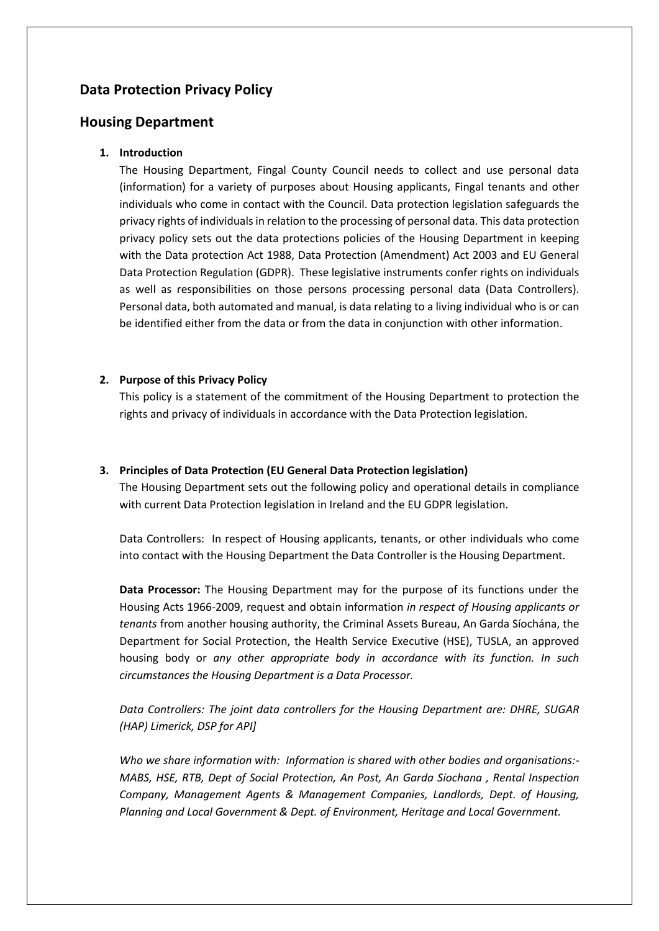# **Data Protection Privacy Policy**

# **Housing Department**

# **1. Introduction**

The Housing Department, Fingal County Council needs to collect and use personal data (information) for a variety of purposes about Housing applicants, Fingal tenants and other individuals who come in contact with the Council. Data protection legislation safeguards the privacy rights of individuals in relation to the processing of personal data. This data protection privacy policy sets out the data protections policies of the Housing Department in keeping with the Data protection Act 1988, Data Protection (Amendment) Act 2003 and EU General Data Protection Regulation (GDPR). These legislative instruments confer rights on individuals as well as responsibilities on those persons processing personal data (Data Controllers). Personal data, both automated and manual, is data relating to a living individual who is or can be identified either from the data or from the data in conjunction with other information.

## **2. Purpose of this Privacy Policy**

This policy is a statement of the commitment of the Housing Department to protection the rights and privacy of individuals in accordance with the Data Protection legislation.

### **3. Principles of Data Protection (EU General Data Protection legislation)**

The Housing Department sets out the following policy and operational details in compliance with current Data Protection legislation in Ireland and the EU GDPR legislation.

Data Controllers: In respect of Housing applicants, tenants, or other individuals who come into contact with the Housing Department the Data Controller is the Housing Department.

**Data Processor:** The Housing Department may for the purpose of its functions under the Housing Acts 1966-2009, request and obtain information *in respect of Housing applicants or tenants* from another housing authority, the Criminal Assets Bureau, An Garda Síochána, the Department for Social Protection, the Health Service Executive (HSE), TUSLA, an approved housing body or *any other appropriate body in accordance with its function. In such circumstances the Housing Department is a Data Processor.*

*Data Controllers: The joint data controllers for the Housing Department are: DHRE, SUGAR (HAP) Limerick, DSP for API]*

*Who we share information with: Information is shared with other bodies and organisations:- MABS, HSE, RTB, Dept of Social Protection, An Post, An Garda Siochana , Rental Inspection Company, Management Agents & Management Companies, Landlords, Dept. of Housing, Planning and Local Government & Dept. of Environment, Heritage and Local Government.*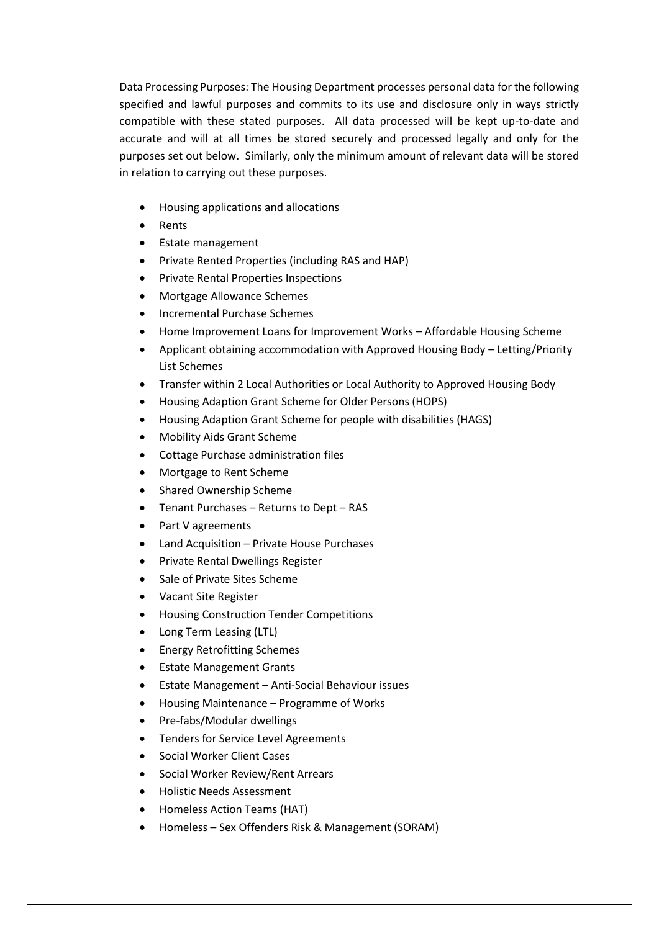Data Processing Purposes: The Housing Department processes personal data for the following specified and lawful purposes and commits to its use and disclosure only in ways strictly compatible with these stated purposes. All data processed will be kept up-to-date and accurate and will at all times be stored securely and processed legally and only for the purposes set out below. Similarly, only the minimum amount of relevant data will be stored in relation to carrying out these purposes.

- Housing applications and allocations
- **Rents**
- Estate management
- Private Rented Properties (including RAS and HAP)
- Private Rental Properties Inspections
- Mortgage Allowance Schemes
- Incremental Purchase Schemes
- Home Improvement Loans for Improvement Works Affordable Housing Scheme
- Applicant obtaining accommodation with Approved Housing Body Letting/Priority List Schemes
- Transfer within 2 Local Authorities or Local Authority to Approved Housing Body
- Housing Adaption Grant Scheme for Older Persons (HOPS)
- Housing Adaption Grant Scheme for people with disabilities (HAGS)
- Mobility Aids Grant Scheme
- Cottage Purchase administration files
- Mortgage to Rent Scheme
- Shared Ownership Scheme
- Tenant Purchases Returns to Dept RAS
- Part V agreements
- Land Acquisition Private House Purchases
- Private Rental Dwellings Register
- Sale of Private Sites Scheme
- Vacant Site Register
- Housing Construction Tender Competitions
- Long Term Leasing (LTL)
- Energy Retrofitting Schemes
- **Estate Management Grants**
- Estate Management Anti-Social Behaviour issues
- Housing Maintenance Programme of Works
- Pre-fabs/Modular dwellings
- Tenders for Service Level Agreements
- Social Worker Client Cases
- Social Worker Review/Rent Arrears
- Holistic Needs Assessment
- Homeless Action Teams (HAT)
- Homeless Sex Offenders Risk & Management (SORAM)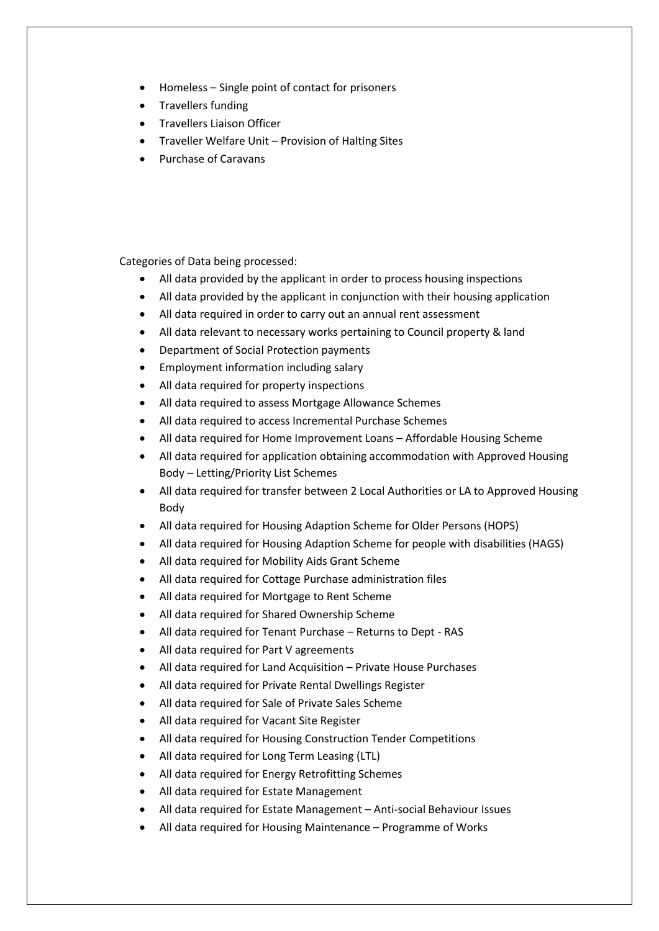- Homeless Single point of contact for prisoners
- Travellers funding
- Travellers Liaison Officer
- Traveller Welfare Unit Provision of Halting Sites
- Purchase of Caravans

Categories of Data being processed:

- All data provided by the applicant in order to process housing inspections
- All data provided by the applicant in conjunction with their housing application
- All data required in order to carry out an annual rent assessment
- All data relevant to necessary works pertaining to Council property & land
- Department of Social Protection payments
- Employment information including salary
- All data required for property inspections
- All data required to assess Mortgage Allowance Schemes
- All data required to access Incremental Purchase Schemes
- All data required for Home Improvement Loans Affordable Housing Scheme
- All data required for application obtaining accommodation with Approved Housing Body – Letting/Priority List Schemes
- All data required for transfer between 2 Local Authorities or LA to Approved Housing Body
- All data required for Housing Adaption Scheme for Older Persons (HOPS)
- All data required for Housing Adaption Scheme for people with disabilities (HAGS)
- All data required for Mobility Aids Grant Scheme
- All data required for Cottage Purchase administration files
- All data required for Mortgage to Rent Scheme
- All data required for Shared Ownership Scheme
- All data required for Tenant Purchase Returns to Dept RAS
- All data required for Part V agreements
- All data required for Land Acquisition Private House Purchases
- All data required for Private Rental Dwellings Register
- All data required for Sale of Private Sales Scheme
- All data required for Vacant Site Register
- All data required for Housing Construction Tender Competitions
- All data required for Long Term Leasing (LTL)
- All data required for Energy Retrofitting Schemes
- All data required for Estate Management
- All data required for Estate Management Anti-social Behaviour Issues
- All data required for Housing Maintenance Programme of Works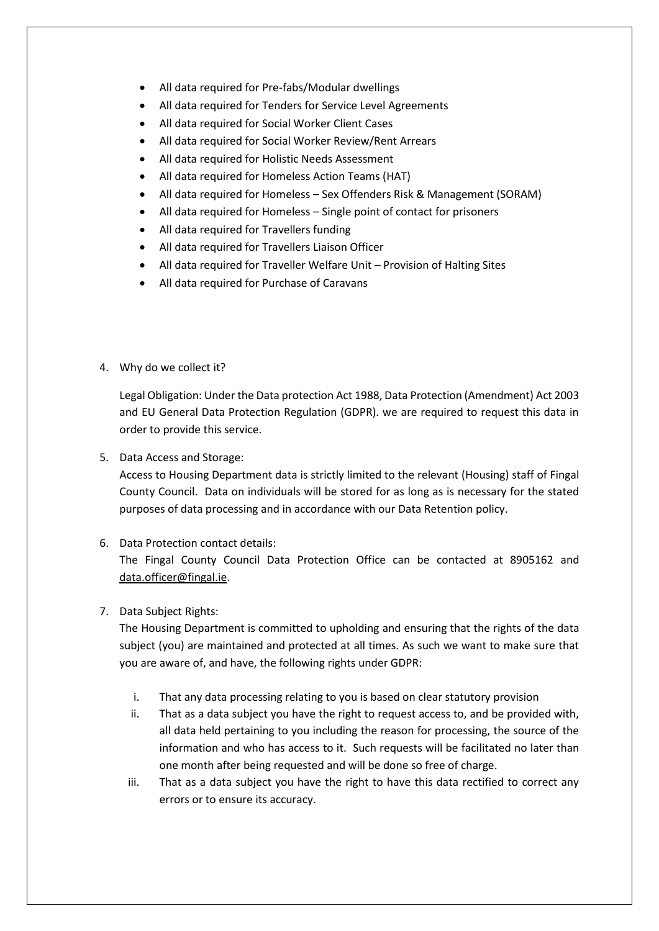- All data required for Pre-fabs/Modular dwellings
- All data required for Tenders for Service Level Agreements
- All data required for Social Worker Client Cases
- All data required for Social Worker Review/Rent Arrears
- All data required for Holistic Needs Assessment
- All data required for Homeless Action Teams (HAT)
- All data required for Homeless Sex Offenders Risk & Management (SORAM)
- All data required for Homeless Single point of contact for prisoners
- All data required for Travellers funding
- All data required for Travellers Liaison Officer
- All data required for Traveller Welfare Unit Provision of Halting Sites
- All data required for Purchase of Caravans
- 4. Why do we collect it?

Legal Obligation: Under the Data protection Act 1988, Data Protection (Amendment) Act 2003 and EU General Data Protection Regulation (GDPR). we are required to request this data in order to provide this service.

5. Data Access and Storage:

Access to Housing Department data is strictly limited to the relevant (Housing) staff of Fingal County Council. Data on individuals will be stored for as long as is necessary for the stated purposes of data processing and in accordance with our Data Retention policy.

6. Data Protection contact details:

The Fingal County Council Data Protection Office can be contacted at 8905162 and [data.officer@fingal.ie.](mailto:data.officer@fingal.ie)

7. Data Subject Rights:

The Housing Department is committed to upholding and ensuring that the rights of the data subject (you) are maintained and protected at all times. As such we want to make sure that you are aware of, and have, the following rights under GDPR:

- i. That any data processing relating to you is based on clear statutory provision
- ii. That as a data subject you have the right to request access to, and be provided with, all data held pertaining to you including the reason for processing, the source of the information and who has access to it. Such requests will be facilitated no later than one month after being requested and will be done so free of charge.
- iii. That as a data subject you have the right to have this data rectified to correct any errors or to ensure its accuracy.